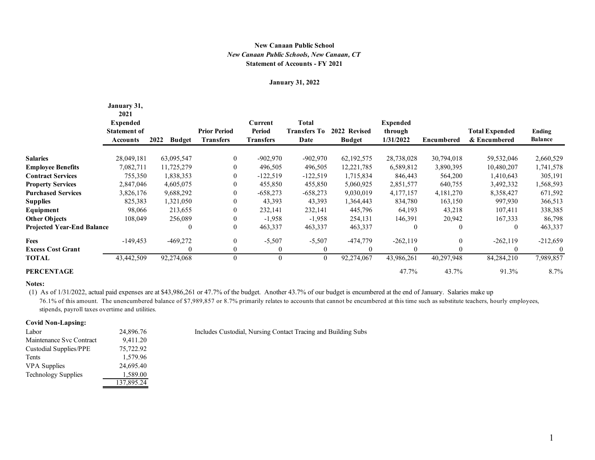## **Statement of Accounts - FY 2021** *New Canaan Public Schools, New Canaan, CT* **New Canaan Public School**

#### **January 31, 2022**

|                                   | January 31,<br>2021<br><b>Expended</b><br><b>Statement of</b><br><b>Accounts</b> | 2022<br><b>Budget</b> | <b>Prior Period</b><br><b>Transfers</b> | Current<br><b>Period</b><br><b>Transfers</b> | <b>Total</b><br><b>Transfers To</b><br>Date | 2022 Revised<br><b>Budget</b> | <b>Expended</b><br>through<br>1/31/2022 | <b>Encumbered</b> | <b>Total Expended</b><br>& Encumbered | Ending<br><b>Balance</b> |
|-----------------------------------|----------------------------------------------------------------------------------|-----------------------|-----------------------------------------|----------------------------------------------|---------------------------------------------|-------------------------------|-----------------------------------------|-------------------|---------------------------------------|--------------------------|
| <b>Salaries</b>                   | 28,049,181                                                                       | 63,095,547            | $\overline{0}$                          | $-902,970$                                   | $-902,970$                                  | 62, 192, 575                  | 28,738,028                              | 30,794,018        | 59,532,046                            | 2,660,529                |
| <b>Employee Benefits</b>          | 7,082,711                                                                        | 11,725,279            | 0                                       | 496,505                                      | 496,505                                     | 12,221,785                    | 6,589,812                               | 3,890,395         | 10,480,207                            | 1,741,578                |
| <b>Contract Services</b>          | 755,350                                                                          | 1,838,353             | 0                                       | $-122,519$                                   | $-122,519$                                  | 1,715,834                     | 846,443                                 | 564,200           | 1,410,643                             | 305,191                  |
| <b>Property Services</b>          | 2,847,046                                                                        | 4,605,075             | 0                                       | 455,850                                      | 455,850                                     | 5,060,925                     | 2,851,577                               | 640,755           | 3,492,332                             | 1,568,593                |
| <b>Purchased Services</b>         | 3,826,176                                                                        | 9,688,292             | 0                                       | $-658,273$                                   | $-658,273$                                  | 9,030,019                     | 4,177,157                               | 4,181,270         | 8,358,427                             | 671,592                  |
| <b>Supplies</b>                   | 825,383                                                                          | 1,321,050             | 0                                       | 43,393                                       | 43,393                                      | 1,364,443                     | 834,780                                 | 163,150           | 997,930                               | 366,513                  |
| Equipment                         | 98,066                                                                           | 213,655               | $\theta$                                | 232,141                                      | 232,141                                     | 445,796                       | 64,193                                  | 43,218            | 107,411                               | 338,385                  |
| <b>Other Objects</b>              | 108,049                                                                          | 256,089               | 0                                       | $-1,958$                                     | $-1,958$                                    | 254,131                       | 146,391                                 | 20,942            | 167,333                               | 86,798                   |
| <b>Projected Year-End Balance</b> |                                                                                  | $\mathbf{0}$          | 0                                       | 463,337                                      | 463,337                                     | 463,337                       | $\bf{0}$                                | $\mathbf{0}$      | 0                                     | 463,337                  |
| Fees                              | $-149,453$                                                                       | $-469,272$            | $\theta$                                | $-5,507$                                     | $-5,507$                                    | $-474,779$                    | $-262,119$                              | $\overline{0}$    | $-262,119$                            | $-212,659$               |
| <b>Excess Cost Grant</b>          |                                                                                  | $\Omega$              | 0                                       | $\theta$                                     | 0                                           |                               | $\theta$                                | $\theta$          | 0                                     | $\theta$                 |
| TOTAL                             | 43,442,509                                                                       | 92,274,068            | $\overline{0}$                          | $\mathbf{0}$                                 | $\mathbf{0}$                                | 92,274,067                    | 43,986,261                              | 40,297,948        | 84,284,210                            | 7,989,857                |
| <b>PERCENTAGE</b>                 |                                                                                  |                       |                                         |                                              |                                             |                               | 47.7%                                   | 43.7%             | 91.3%                                 | $8.7\%$                  |

#### **Notes:**

 (1) As of 1/31/2022, actual paid expenses are at \$43,986,261 or 47.7% of the budget. Another 43.7% of our budget is encumbered at the end of January. Salaries make up 76.1% of this amount. The unencumbered balance of \$7,989,857 or 8.7% primarily relates to accounts that cannot be encumbered at this time such as substitute teachers, hourly employees, stipends, payroll taxes overtime and utilities.

### **Covid Non-Lapsing:**

| Labor                         | 24,896.76  |
|-------------------------------|------------|
| Maintenance Svc Contract      | 9,411.20   |
| <b>Custodial Supplies/PPE</b> | 75,722.92  |
| Tents                         | 1,579.96   |
| <b>VPA</b> Supplies           | 24,695.40  |
| <b>Technology Supplies</b>    | 1,589.00   |
|                               | 137,895.24 |

Includes Custodial, Nursing Contact Tracing and Building Subs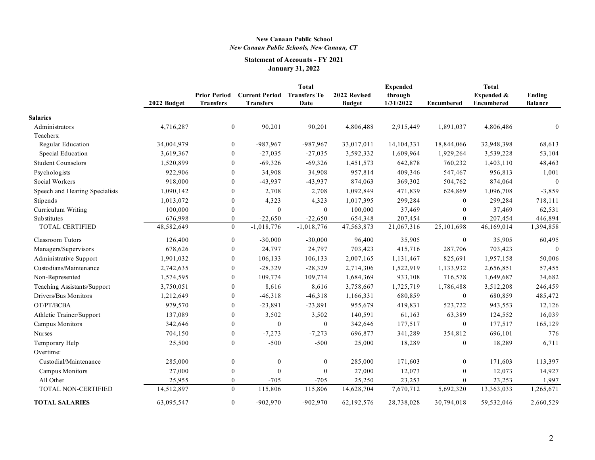## **New Canaan Public School** *New Canaan Public Schools, New Canaan, CT*

# **Statement of Accounts - FY 2021 January 31, 2022**

|                                |             |                                         |                                                        | <b>Total</b>     |                               | <b>Expended</b>      |                   | <b>Total</b>                    |                          |
|--------------------------------|-------------|-----------------------------------------|--------------------------------------------------------|------------------|-------------------------------|----------------------|-------------------|---------------------------------|--------------------------|
|                                | 2022 Budget | <b>Prior Period</b><br><b>Transfers</b> | <b>Current Period Transfers To</b><br><b>Transfers</b> | Date             | 2022 Revised<br><b>Budget</b> | through<br>1/31/2022 | <b>Encumbered</b> | Expended &<br><b>Encumbered</b> | Ending<br><b>Balance</b> |
|                                |             |                                         |                                                        |                  |                               |                      |                   |                                 |                          |
| <b>Salaries</b>                |             |                                         |                                                        |                  |                               |                      |                   |                                 |                          |
| Administrators                 | 4,716,287   | $\boldsymbol{0}$                        | 90,201                                                 | 90,201           | 4,806,488                     | 2,915,449            | 1,891,037         | 4,806,486                       | $\mathbf{0}$             |
| Teachers:<br>Regular Education | 34,004,979  | $\boldsymbol{0}$                        | $-987,967$                                             | -987,967         | 33,017,011                    | 14,104,331           | 18,844,066        | 32,948,398                      | 68,613                   |
|                                |             | $\theta$                                | $-27,035$                                              |                  |                               |                      |                   |                                 |                          |
| Special Education              | 3,619,367   |                                         |                                                        | $-27,035$        | 3,592,332                     | 1,609,964            | 1,929,264         | 3,539,228                       | 53,104                   |
| <b>Student Counselors</b>      | 1,520,899   | $\Omega$                                | $-69,326$                                              | $-69,326$        | 1,451,573                     | 642,878              | 760,232           | 1,403,110                       | 48,463                   |
| Psychologists                  | 922,906     | $\overline{0}$                          | 34,908                                                 | 34,908           | 957,814                       | 409,346              | 547,467           | 956,813                         | 1,001                    |
| Social Workers                 | 918,000     | $\theta$                                | $-43,937$                                              | $-43,937$        | 874,063                       | 369,302              | 504,762           | 874,064                         | $\overline{0}$           |
| Speech and Hearing Specialists | 1,090,142   | $\boldsymbol{0}$                        | 2,708                                                  | 2,708            | 1,092,849                     | 471,839              | 624,869           | 1,096,708                       | $-3,859$                 |
| Stipends                       | 1,013,072   | $\boldsymbol{0}$                        | 4,323                                                  | 4,323            | 1,017,395                     | 299,284              | $\theta$          | 299,284                         | 718,111                  |
| Curriculum Writing             | 100,000     | $\theta$                                | $\mathbf{0}$                                           | $\theta$         | 100,000                       | 37,469               | $\theta$          | 37,469                          | 62,531                   |
| Substitutes                    | 676,998     | $\mathbf{0}$                            | $-22,650$                                              | $-22,650$        | 654,348                       | 207,454              | $\Omega$          | 207,454                         | 446,894                  |
| TOTAL CERTIFIED                | 48,582,649  | $\mathbf{0}$                            | $-1,018,776$                                           | $-1,018,776$     | 47, 563, 873                  | 21,067,316           | 25,101,698        | 46,169,014                      | 1,394,858                |
| Classroom Tutors               | 126,400     | $\boldsymbol{0}$                        | $-30,000$                                              | $-30,000$        | 96,400                        | 35,905               | $\mathbf{0}$      | 35,905                          | 60,495                   |
| Managers/Supervisors           | 678,626     | $\theta$                                | 24,797                                                 | 24,797           | 703,423                       | 415,716              | 287,706           | 703,423                         | $\theta$                 |
| Administrative Support         | 1,901,032   | $\Omega$                                | 106,133                                                | 106,133          | 2,007,165                     | 1,131,467            | 825,691           | 1,957,158                       | 50,006                   |
| Custodians/Maintenance         | 2,742,635   | $\theta$                                | $-28,329$                                              | $-28,329$        | 2,714,306                     | 1,522,919            | 1,133,932         | 2,656,851                       | 57,455                   |
| Non-Represented                | 1,574,595   | $\boldsymbol{0}$                        | 109,774                                                | 109,774          | 1,684,369                     | 933,108              | 716,578           | 1,649,687                       | 34,682                   |
| Teaching Assistants/Support    | 3,750,051   | $\overline{0}$                          | 8,616                                                  | 8,616            | 3,758,667                     | 1,725,719            | 1,786,488         | 3,512,208                       | 246,459                  |
| Drivers/Bus Monitors           | 1,212,649   | $\mathbf{0}$                            | $-46,318$                                              | $-46,318$        | 1,166,331                     | 680,859              | $\overline{0}$    | 680,859                         | 485,472                  |
| OT/PT/BCBA                     | 979,570     | $\mathbf{0}$                            | $-23,891$                                              | $-23,891$        | 955,679                       | 419,831              | 523,722           | 943,553                         | 12,126                   |
| Athletic Trainer/Support       | 137,089     | $\mathbf{0}$                            | 3,502                                                  | 3,502            | 140,591                       | 61,163               | 63,389            | 124,552                         | 16,039                   |
| Campus Monitors                | 342,646     | $\overline{0}$                          | $\boldsymbol{0}$                                       | $\boldsymbol{0}$ | 342,646                       | 177,517              | $\mathbf{0}$      | 177,517                         | 165,129                  |
| Nurses                         | 704,150     | $\boldsymbol{0}$                        | $-7,273$                                               | $-7,273$         | 696,877                       | 341,289              | 354,812           | 696,101                         | 776                      |
| Temporary Help                 | 25,500      | $\boldsymbol{0}$                        | $-500$                                                 | $-500$           | 25,000                        | 18,289               | $\boldsymbol{0}$  | 18,289                          | 6,711                    |
| Overtime:                      |             |                                         |                                                        |                  |                               |                      |                   |                                 |                          |
| Custodial/Maintenance          | 285,000     | $\boldsymbol{0}$                        | $\boldsymbol{0}$                                       | $\boldsymbol{0}$ | 285,000                       | 171,603              | $\mathbf{0}$      | 171,603                         | 113,397                  |
| <b>Campus Monitors</b>         | 27,000      | $\theta$                                | $\theta$                                               | $\mathbf{0}$     | 27,000                        | 12,073               | $\theta$          | 12,073                          | 14,927                   |
| All Other                      | 25,955      | $\mathbf{0}$                            | $-705$                                                 | $-705$           | 25,250                        | 23,253               | $\theta$          | 23,253                          | 1,997                    |
| TOTAL NON-CERTIFIED            | 14,512,897  | $\mathbf{0}$                            | 115,806                                                | 115,806          | 14,628,704                    | 7,670,712            | 5,692,320         | 13,363,033                      | 1,265,671                |
| <b>TOTAL SALARIES</b>          | 63,095,547  | $\boldsymbol{0}$                        | $-902,970$                                             | $-902,970$       | 62,192,576                    | 28,738,028           | 30,794,018        | 59,532,046                      | 2,660,529                |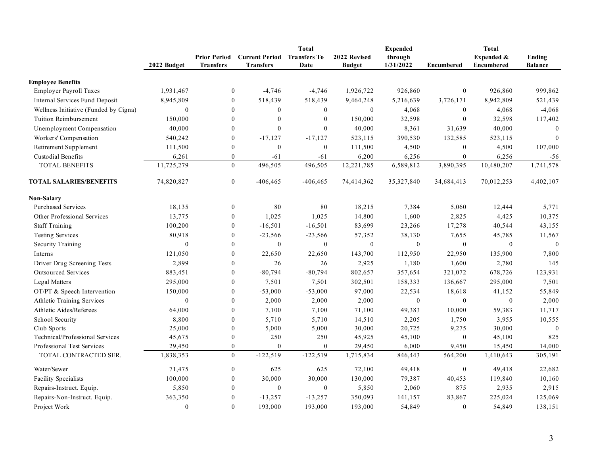|                                       |                  |                                         |                                           | <b>Total</b>                |                               | <b>Expended</b>      | <b>Total</b>      |                                 |                                 |  |
|---------------------------------------|------------------|-----------------------------------------|-------------------------------------------|-----------------------------|-------------------------------|----------------------|-------------------|---------------------------------|---------------------------------|--|
|                                       | 2022 Budget      | <b>Prior Period</b><br><b>Transfers</b> | <b>Current Period</b><br><b>Transfers</b> | <b>Transfers To</b><br>Date | 2022 Revised<br><b>Budget</b> | through<br>1/31/2022 | <b>Encumbered</b> | Expended &<br><b>Encumbered</b> | <b>Ending</b><br><b>Balance</b> |  |
|                                       |                  |                                         |                                           |                             |                               |                      |                   |                                 |                                 |  |
| <b>Employee Benefits</b>              |                  |                                         |                                           |                             |                               |                      | $\overline{0}$    |                                 |                                 |  |
| <b>Employer Payroll Taxes</b>         | 1,931,467        | $\mathbf{0}$                            | $-4,746$                                  | $-4,746$                    | 1,926,722                     | 926,860              |                   | 926,860                         | 999,862                         |  |
| Internal Services Fund Deposit        | 8,945,809        | $\mathbf{0}$                            | 518,439                                   | 518,439                     | 9,464,248                     | 5,216,639            | 3,726,171         | 8,942,809                       | 521,439                         |  |
| Wellness Initiative (Funded by Cigna) | $\boldsymbol{0}$ | $\mathbf{0}$                            | $\boldsymbol{0}$                          | $\mathbf{0}$                | $\boldsymbol{0}$              | 4,068                | $\overline{0}$    | 4,068                           | $-4,068$                        |  |
| Tuition Reimbursement                 | 150,000          | $\mathbf{0}$                            | $\theta$                                  | $\mathbf{0}$                | 150,000                       | 32,598               | $\mathbf{0}$      | 32,598                          | 117,402                         |  |
| Unemployment Compensation             | 40,000           | $\mathbf{0}$                            | $\theta$                                  | $\mathbf{0}$                | 40,000                        | 8,361                | 31,639            | 40,000                          | $\theta$                        |  |
| Workers' Compensation                 | 540,242          | $\boldsymbol{0}$                        | $-17,127$                                 | $-17,127$                   | 523,115                       | 390,530              | 132,585           | 523,115                         | $\mathbf{0}$                    |  |
| Retirement Supplement                 | 111,500          | $\mathbf{0}$                            | $\mathbf{0}$                              | $\mathbf{0}$                | 111,500                       | 4,500                | $\overline{0}$    | 4,500                           | 107,000                         |  |
| <b>Custodial Benefits</b>             | 6,261            | $\mathbf{0}$                            | $-61$                                     | $-61$                       | 6,200                         | 6,256                | $\mathbf{0}$      | 6,256                           | $-56$                           |  |
| <b>TOTAL BENEFITS</b>                 | 11,725,279       | $\theta$                                | 496,505                                   | 496,505                     | 12,221,785                    | 6,589,812            | 3,890,395         | 10,480,207                      | 1,741,578                       |  |
| <b>TOTAL SALARIES/BENEFITS</b>        | 74,820,827       | $\overline{0}$                          | $-406, 465$                               | $-406, 465$                 | 74,414,362                    | 35,327,840           | 34,684,413        | 70,012,253                      | 4,402,107                       |  |
| <b>Non-Salary</b>                     |                  |                                         |                                           |                             |                               |                      |                   |                                 |                                 |  |
| <b>Purchased Services</b>             | 18,135           | $\boldsymbol{0}$                        | 80                                        | 80                          | 18,215                        | 7,384                | 5,060             | 12,444                          | 5,771                           |  |
| Other Professional Services           | 13,775           | $\boldsymbol{0}$                        | 1,025                                     | 1,025                       | 14,800                        | 1,600                | 2,825             | 4,425                           | 10,375                          |  |
| <b>Staff Training</b>                 | 100,200          | $\boldsymbol{0}$                        | $-16,501$                                 | $-16,501$                   | 83,699                        | 23,266               | 17,278            | 40,544                          | 43,155                          |  |
| <b>Testing Services</b>               | 80,918           | $\mathbf{0}$                            | $-23,566$                                 | $-23,566$                   | 57,352                        | 38,130               | 7,655             | 45,785                          | 11,567                          |  |
| <b>Security Training</b>              | $\boldsymbol{0}$ | $\mathbf{0}$                            | $\mathbf{0}$                              | $\mathbf{0}$                | $\boldsymbol{0}$              | $\mathbf{0}$         | $\mathbf{0}$      | $\mathbf{0}$                    | $\mathbf{0}$                    |  |
| Interns                               | 121,050          | $\boldsymbol{0}$                        | 22,650                                    | 22,650                      | 143,700                       | 112,950              | 22,950            | 135,900                         | 7,800                           |  |
| Driver Drug Screening Tests           | 2,899            | $\mathbf{0}$                            | 26                                        | 26                          | 2,925                         | 1,180                | 1,600             | 2,780                           | 145                             |  |
| <b>Outsourced Services</b>            | 883,451          | $\mathbf{0}$                            | $-80,794$                                 | $-80,794$                   | 802,657                       | 357,654              | 321,072           | 678,726                         | 123,931                         |  |
| Legal Matters                         | 295,000          | $\theta$                                | 7,501                                     | 7,501                       | 302,501                       | 158,333              | 136,667           | 295,000                         | 7,501                           |  |
| OT/PT & Speech Intervention           | 150,000          | $\mathbf{0}$                            | $-53,000$                                 | $-53,000$                   | 97,000                        | 22,534               | 18,618            | 41,152                          | 55,849                          |  |
| Athletic Training Services            | $\boldsymbol{0}$ | $\boldsymbol{0}$                        | 2,000                                     | 2,000                       | 2,000                         | $\mathbf{0}$         | $\overline{0}$    | $\mathbf{0}$                    | 2,000                           |  |
| Athletic Aides/Referees               | 64,000           | $\boldsymbol{0}$                        | 7,100                                     | 7,100                       | 71,100                        | 49,383               | 10,000            | 59,383                          | 11,717                          |  |
| School Security                       | 8,800            | $\mathbf{0}$                            | 5,710                                     | 5,710                       | 14,510                        | 2,205                | 1,750             | 3,955                           | 10,555                          |  |
| Club Sports                           | 25,000           | $\boldsymbol{0}$                        | 5,000                                     | 5,000                       | 30,000                        | 20,725               | 9,275             | 30,000                          | $\mathbf{0}$                    |  |
| Technical/Professional Services       | 45,675           | $\mathbf{0}$                            | 250                                       | 250                         | 45,925                        | 45,100               | $\mathbf{0}$      | 45,100                          | 825                             |  |
| Professional Test Services            | 29,450           | $\mathbf{0}$                            | $\mathbf{0}$                              | $\mathbf{0}$                | 29,450                        | 6,000                | 9,450             | 15,450                          | 14,000                          |  |
| TOTAL CONTRACTED SER.                 | 1,838,353        | $\theta$                                | $-122,519$                                | $-122,519$                  | 1,715,834                     | 846,443              | 564,200           | 1,410,643                       | 305,191                         |  |
| Water/Sewer                           | 71,475           | $\boldsymbol{0}$                        | 625                                       | 625                         | 72,100                        | 49,418               | $\boldsymbol{0}$  | 49,418                          | 22,682                          |  |
| <b>Facility Specialists</b>           | 100,000          | $\mathbf{0}$                            | 30,000                                    | 30,000                      | 130,000                       | 79,387               | 40,453            | 119,840                         | 10,160                          |  |
| Repairs-Instruct. Equip.              | 5,850            | $\boldsymbol{0}$                        | $\boldsymbol{0}$                          | $\boldsymbol{0}$            | 5,850                         | 2,060                | 875               | 2,935                           | 2,915                           |  |
| Repairs-Non-Instruct. Equip.          | 363,350          | $\mathbf{0}$                            | $-13,257$                                 | $-13,257$                   | 350,093                       | 141,157              | 83,867            | 225,024                         | 125,069                         |  |
| Project Work                          | $\boldsymbol{0}$ | $\theta$                                | 193,000                                   | 193,000                     | 193,000                       | 54,849               | $\overline{0}$    | 54,849                          | 138,151                         |  |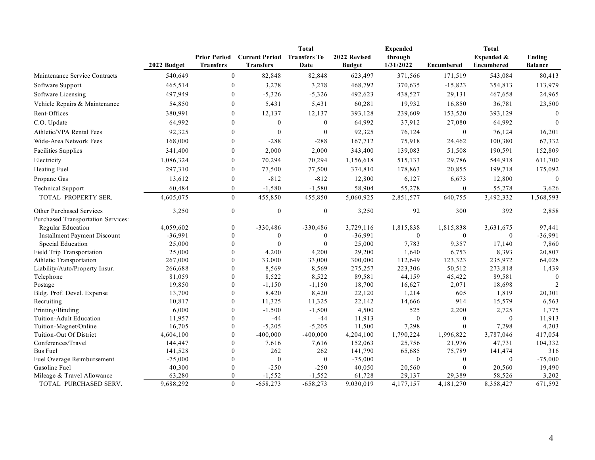|                                     |             |                     | <b>Current Period</b> | <b>Total</b><br><b>Transfers To</b> | 2022 Revised  | <b>Expended</b>  |                   | <b>Total</b> |                |
|-------------------------------------|-------------|---------------------|-----------------------|-------------------------------------|---------------|------------------|-------------------|--------------|----------------|
|                                     |             | <b>Prior Period</b> |                       |                                     |               | through          |                   | Expended &   | <b>Ending</b>  |
|                                     | 2022 Budget | Transfers           | <b>Transfers</b>      | Date                                | <b>Budget</b> | 1/31/2022        | <b>Encumbered</b> | Encumbered   | <b>Balance</b> |
| Maintenance Service Contracts       | 540,649     | $\overline{0}$      | 82,848                | 82,848                              | 623,497       | 371,566          | 171,519           | 543,084      | 80,413         |
| Software Support                    | 465,514     | $\mathbf{0}$        | 3,278                 | 3,278                               | 468,792       | 370,635          | $-15,823$         | 354,813      | 113,979        |
| Software Licensing                  | 497,949     | $\mathbf{0}$        | $-5,326$              | $-5,326$                            | 492,623       | 438,527          | 29,131            | 467,658      | 24,965         |
| Vehicle Repairs & Maintenance       | 54,850      | $\boldsymbol{0}$    | 5,431                 | 5,431                               | 60,281        | 19,932           | 16,850            | 36,781       | 23,500         |
| Rent-Offices                        | 380,991     | $\mathbf{0}$        | 12,137                | 12,137                              | 393,128       | 239,609          | 153,520           | 393,129      | $\theta$       |
| C.O. Update                         | 64,992      | $\mathbf{0}$        | $\mathbf{0}$          | $\boldsymbol{0}$                    | 64,992        | 37,912           | 27,080            | 64,992       | $\theta$       |
| Athletic/VPA Rental Fees            | 92,325      | $\mathbf{0}$        | $\theta$              | $\boldsymbol{0}$                    | 92,325        | 76,124           | $\mathbf{0}$      | 76,124       | 16,201         |
| Wide-Area Network Fees              | 168,000     | $\boldsymbol{0}$    | $-288$                | $-288$                              | 167,712       | 75,918           | 24,462            | 100,380      | 67,332         |
| <b>Facilities Supplies</b>          | 341,400     | $\boldsymbol{0}$    | 2,000                 | 2,000                               | 343,400       | 139,083          | 51,508            | 190,591      | 152,809        |
| Electricity                         | 1,086,324   | $\boldsymbol{0}$    | 70,294                | 70,294                              | 1,156,618     | 515,133          | 29,786            | 544,918      | 611,700        |
|                                     |             |                     |                       |                                     |               |                  |                   |              |                |
| Heating Fuel                        | 297,310     | $\mathbf{0}$        | 77,500                | 77,500                              | 374,810       | 178,863          | 20,855            | 199,718      | 175,092        |
| Propane Gas                         | 13,612      | $\boldsymbol{0}$    | $-812$                | $-812$                              | 12,800        | 6,127            | 6,673             | 12,800       | $\theta$       |
| <b>Technical Support</b>            | 60,484      | $\mathbf{0}$        | $-1,580$              | $-1,580$                            | 58,904        | 55,278           | $\mathbf{0}$      | 55,278       | 3,626          |
| TOTAL PROPERTY SER.                 | 4,605,075   | $\boldsymbol{0}$    | 455,850               | 455,850                             | 5,060,925     | 2,851,577        | 640,755           | 3,492,332    | 1,568,593      |
| Other Purchased Services            | 3,250       | $\boldsymbol{0}$    | $\theta$              | $\boldsymbol{0}$                    | 3,250         | 92               | 300               | 392          | 2,858          |
| Purchased Transportation Services:  |             |                     |                       |                                     |               |                  |                   |              |                |
| Regular Education                   | 4,059,602   | $\overline{0}$      | $-330,486$            | $-330,486$                          | 3,729,116     | 1,815,838        | 1,815,838         | 3,631,675    | 97,441         |
| <b>Installment Payment Discount</b> | $-36,991$   | $\theta$            | $\mathbf{0}$          | $\mathbf{0}$                        | $-36,991$     | $\boldsymbol{0}$ | $\mathbf{0}$      | $\mathbf{0}$ | $-36,991$      |
| Special Education                   | 25,000      | $\mathbf{0}$        | $\Omega$              | $\theta$                            | 25,000        | 7,783            | 9,357             | 17,140       | 7,860          |
| Field Trip Transportation           | 25,000      | $\theta$            | 4,200                 | 4,200                               | 29,200        | 1,640            | 6,753             | 8,393        | 20,807         |
| Athletic Transportation             | 267,000     | $\theta$            | 33,000                | 33,000                              | 300,000       | 112,649          | 123,323           | 235,972      | 64,028         |
| Liability/Auto/Property Insur.      | 266,688     | $\theta$            | 8,569                 | 8,569                               | 275,257       | 223,306          | 50,512            | 273,818      | 1,439          |
| Telephone                           | 81,059      | $\mathbf{0}$        | 8,522                 | 8,522                               | 89,581        | 44,159           | 45,422            | 89,581       | $\mathbf{0}$   |
| Postage                             | 19,850      | $\theta$            | $-1,150$              | $-1,150$                            | 18,700        | 16,627           | 2,071             | 18,698       | $\overline{2}$ |
| Bldg. Prof. Devel. Expense          | 13,700      | $\mathbf{0}$        | 8,420                 | 8,420                               | 22,120        | 1,214            | 605               | 1,819        | 20,301         |
| Recruiting                          | 10,817      | $\mathbf{0}$        | 11,325                | 11,325                              | 22,142        | 14,666           | 914               | 15,579       | 6,563          |
| Printing/Binding                    | 6,000       | $\theta$            | $-1,500$              | $-1,500$                            | 4,500         | 525              | 2,200             | 2,725        | 1,775          |
| Tuition-Adult Education             | 11,957      | $\theta$            | $-44$                 | $-44$                               | 11,913        | $\boldsymbol{0}$ | $\mathbf{0}$      | $\mathbf{0}$ | 11,913         |
| Tuition-Magnet/Online               | 16,705      | $\theta$            | $-5,205$              | $-5,205$                            | 11,500        | 7,298            | $\theta$          | 7,298        | 4,203          |
| Tuition-Out Of District             | 4,604,100   | $\theta$            | $-400,000$            | $-400,000$                          | 4,204,100     | 1,790,224        | 1,996,822         | 3,787,046    | 417,054        |
| Conferences/Travel                  | 144,447     | $\theta$            | 7,616                 | 7,616                               | 152,063       | 25,756           | 21,976            | 47,731       | 104,332        |
| <b>Bus Fuel</b>                     | 141,528     | $\theta$            | 262                   | 262                                 | 141,790       | 65,685           | 75,789            | 141,474      | 316            |
| Fuel Overage Reimbursement          | $-75,000$   | $\theta$            | $\theta$              | $\mathbf{0}$                        | $-75,000$     | $\mathbf{0}$     | $\mathbf{0}$      | $\mathbf{0}$ | $-75,000$      |
| Gasoline Fuel                       | 40,300      | $\boldsymbol{0}$    | $-250$                | $-250$                              | 40,050        | 20,560           | $\theta$          | 20,560       | 19,490         |
| Mileage & Travel Allowance          | 63,280      | $\mathbf{0}$        | $-1,552$              | $-1,552$                            | 61,728        | 29,137           | 29,389            | 58,526       | 3,202          |
| TOTAL PURCHASED SERV.               | 9,688,292   | $\theta$            | $-658,273$            | $-658,273$                          | 9,030,019     | 4,177,157        | 4,181,270         | 8,358,427    | 671.592        |